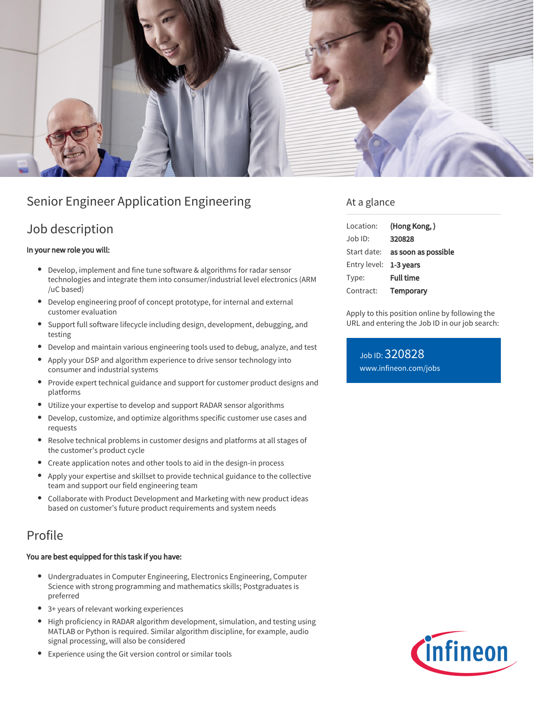

# Senior Engineer Application Engineering

### Job description

#### In your new role you will:

- Develop, implement and fine tune software & algorithms for radar sensor technologies and integrate them into consumer/industrial level electronics (ARM /uC based)
- Develop engineering proof of concept prototype, for internal and external customer evaluation
- Support full software lifecycle including design, development, debugging, and testing
- Develop and maintain various engineering tools used to debug, analyze, and test
- Apply your DSP and algorithm experience to drive sensor technology into consumer and industrial systems
- Provide expert technical guidance and support for customer product designs and platforms
- $\bullet$ Utilize your expertise to develop and support RADAR sensor algorithms
- Develop, customize, and optimize algorithms specific customer use cases and requests
- Resolve technical problems in customer designs and platforms at all stages of the customer's product cycle
- Create application notes and other tools to aid in the design-in process
- Apply your expertise and skillset to provide technical guidance to the collective  $\bullet$ team and support our field engineering team
- $\bullet$ Collaborate with Product Development and Marketing with new product ideas based on customer's future product requirements and system needs

## Profile

#### You are best equipped for this task if you have:

- Undergraduates in Computer Engineering, Electronics Engineering, Computer Science with strong programming and mathematics skills; Postgraduates is preferred
- 3+ years of relevant working experiences
- High proficiency in RADAR algorithm development, simulation, and testing using MATLAB or Python is required. Similar algorithm discipline, for example, audio signal processing, will also be considered
- Experience using the Git version control or similar tools

### At a glance

| Location:              | (Hong Kong,)                    |
|------------------------|---------------------------------|
| $Job$ ID:              | 320828                          |
|                        | Start date: as soon as possible |
| Entry level: 1-3 years |                                 |
| Type:                  | <b>Full time</b>                |
| Contract:              | <b>Temporary</b>                |

Apply to this position online by following the URL and entering the Job ID in our job search:

Job ID: 320828 [www.infineon.com/jobs](https://www.infineon.com/jobs)